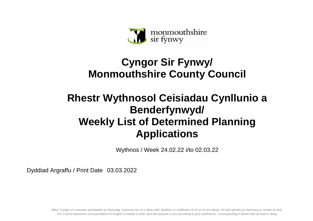

## **Cyngor Sir Fynwy/ Monmouthshire County Council**

## **Rhestr Wythnosol Ceisiadau Cynllunio a Benderfynwyd/ Weekly List of Determined Planning Applications**

Wythnos / Week 24.02.22 i/to 02.03.22

Dyddiad Argraffu / Print Date 03.03.2022

Mae'r Cyngor yn croesawu gohebiaeth yn Gymraeg, Saesneg neu yn y ddwy iaith. Byddwn yn cyfathrebu â chi yn ôl eich dewis. Ni fydd gohebu yn Gymraeg yn arwain at oedi. The Council welcomes correspondence in English or Welsh or both, and will respond to you according to your preference. Corresponding in Welsh will not lead to delay.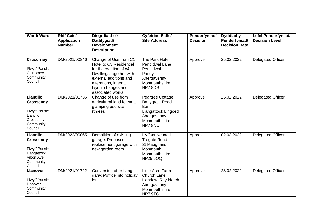| <b>Ward/Ward</b>                                                                                            | <b>Rhif Cais/</b><br><b>Application</b><br><b>Number</b> | Disgrifia d o'r<br>Datblygiad/<br><b>Development</b><br><b>Description</b>                                                                                                                          | <b>Cyfeiriad Safle/</b><br><b>Site Address</b>                                                                     | Penderfyniad/<br><b>Decision</b> | Dyddiad y<br>Penderfyniad/<br><b>Decision Date</b> | <b>Lefel Penderfyniad/</b><br><b>Decision Level</b> |
|-------------------------------------------------------------------------------------------------------------|----------------------------------------------------------|-----------------------------------------------------------------------------------------------------------------------------------------------------------------------------------------------------|--------------------------------------------------------------------------------------------------------------------|----------------------------------|----------------------------------------------------|-----------------------------------------------------|
| <b>Crucorney</b><br>Plwyf/ Parish:<br>Crucorney<br>Community<br>Council                                     | DM/2021/00846                                            | Change of Use from C1<br>Hotel to C3 Residential<br>for the creation of x4<br>Dwellings together with<br>external additions and<br>alterations, internal<br>layout changes and<br>associated works. | The Park Hotel<br>Penbidwal Lane<br>Penbidwal<br>Pandy<br>Abergavenny<br>Monmouthshire<br>NP78DS                   | Approve                          | 25.02.2022                                         | <b>Delegated Officer</b>                            |
| <b>Llantilio</b><br><b>Crossenny</b><br>Plwyf/ Parish:<br>Llantilio<br>Crossenny<br>Community<br>Council    | DM/2021/01736                                            | Change of use from<br>agricultural land for small<br>glamping pod site<br>(three).                                                                                                                  | Peartree Cottage<br>Danygraig Road<br><b>Bont</b><br>Llangattock Lingoed<br>Abergavenny<br>Monmouthshire<br>NP78NU | Approve                          | 25.02.2022                                         | <b>Delegated Officer</b>                            |
| <b>Llantilio</b><br><b>Crossenny</b><br>Plwyf/ Parish:<br>Llangattock<br>Vibon Avel<br>Community<br>Council | DM/2022/00065                                            | Demolition of existing<br>garage. Proposed<br>replacement garage with<br>new garden room.                                                                                                           | <b>Llyffant Neuadd</b><br><b>Tregate Road</b><br>St Maughans<br>Monmouth<br>Monmouthshire<br><b>NP25 5QQ</b>       | Approve                          | 02.03.2022                                         | <b>Delegated Officer</b>                            |
| <b>Llanover</b><br>Plwyf/ Parish:<br>Llanover<br>Community<br>Council                                       | DM/2021/01722                                            | Conversion of existing<br>garage/office into holiday<br>let.                                                                                                                                        | Little Acre Farm<br>Church Lane<br>Llandewi Rhydderch<br>Abergavenny<br>Monmouthshire<br>NP7 9TG                   | Approve                          | 28.02.2022                                         | <b>Delegated Officer</b>                            |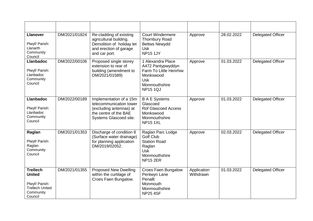| <b>Llanover</b><br>Plwyf/ Parish:<br>Llanarth<br>Community<br>Council                                | DM/2021/01824 | Re-cladding of existing<br>agricultural building.<br>Demolition of holiday let<br>and erection of garage<br>and car port.        | <b>Court Windermere</b><br><b>Thornbury Road</b><br><b>Bettws Newydd</b><br><b>Usk</b><br><b>NP15 1JY</b>                       | Approve                  | 28.02.2022 | <b>Delegated Officer</b> |
|------------------------------------------------------------------------------------------------------|---------------|----------------------------------------------------------------------------------------------------------------------------------|---------------------------------------------------------------------------------------------------------------------------------|--------------------------|------------|--------------------------|
| <b>Llanbadoc</b><br>Plwyf/ Parish:<br>Llanbadoc<br>Community<br>Council                              | DM/2022/00106 | Proposed single storey<br>extension to rear of<br>building (amendment to<br>DM/2021/01589)                                       | 1 Alexandra Place<br>A472 Pantypwyddyn<br>Farm To Little Henrhiw<br>Monkswood<br><b>Usk</b><br>Monmouthshire<br><b>NP15 1QJ</b> | Approve                  | 01.03.2022 | Delegated Officer        |
| <b>Llanbadoc</b><br>Plwyf/ Parish:<br>Llanbadoc<br>Community<br>Council                              | DM/2022/00189 | Implementation of a 15m<br>telecommunication tower<br>(excluding antennas) at<br>the centre of the BAE<br>Systems Glascoed site. | <b>B A E Systems</b><br>Glascoed<br><b>Rof Glascoed Access</b><br>Monkswood<br>Monmouthshire<br><b>NP15 1XL</b>                 | Approve                  | 01.03.2022 | Delegated Officer        |
| Raglan<br>Plwyf/ Parish:<br>Raglan<br>Community<br>Council                                           | DM/2021/01353 | Discharge of condition 8<br>(Surface water drainage)<br>for planning application<br>DM/2019/02052.                               | Raglan Parc Lodge<br><b>Golf Club</b><br><b>Station Road</b><br>Raglan<br><b>Usk</b><br>Monmouthshire<br><b>NP15 2ER</b>        | Approve                  | 02.03.2022 | <b>Delegated Officer</b> |
| <b>Trellech</b><br><b>United</b><br>Plwyf/ Parish:<br><b>Trellech United</b><br>Community<br>Council | DM/2021/01355 | <b>Proposed New Dwelling</b><br>within the curtilage of<br>Croes Faen Bungalow.                                                  | Croes Faen Bungalow<br>Pentwyn Lane<br>Penallt<br>Monmouth<br>Monmouthshire<br><b>NP25 4SF</b>                                  | Application<br>Withdrawn | 01.03.2022 | <b>Delegated Officer</b> |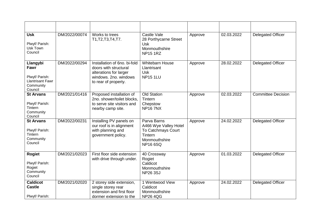| <b>Usk</b><br>Plwyf/ Parish:<br>Usk Town<br>Council                                   | DM/2022/00074 | Works to trees<br>T1, T2, T3, T4, T7.                                                                                            | Castle Vale<br>28 Porthycarne Street<br><b>Usk</b><br>Monmouthshire<br><b>NP15 1RZ</b>                   | Approve | 02.03.2022 | <b>Delegated Officer</b>  |
|---------------------------------------------------------------------------------------|---------------|----------------------------------------------------------------------------------------------------------------------------------|----------------------------------------------------------------------------------------------------------|---------|------------|---------------------------|
| Llangybi<br>Fawr<br>Plwyf/ Parish:<br><b>Llantrisant Fawr</b><br>Community<br>Council | DM/2022/00294 | Installation of 6no. bi-fold<br>doors with structural<br>alterations for larger<br>windows. 2no. windows<br>to rear of property. | <b>Whitebarn House</b><br>Llantrisant<br>Usk<br><b>NP15 1LU</b>                                          | Approve | 28.02.2022 | <b>Delegated Officer</b>  |
| <b>St Arvans</b><br>Plwyf/ Parish:<br>Tintern<br>Community<br>Council                 | DM/2021/01416 | Proposed installation of<br>2no. shower/toilet blocks,<br>to serve site visitors and<br>nearby camp site.                        | <b>Old Station</b><br>Tintern<br>Chepstow<br><b>NP167NX</b>                                              | Approve | 02.03.2022 | <b>Committee Decision</b> |
| <b>St Arvans</b><br>Plwyf/ Parish:<br>Tintern<br>Community<br>Council                 | DM/2022/00231 | Installing PV panels on<br>our roof is in alignment<br>with planning and<br>government policy.                                   | Parva Barns<br>A466 Wye Valley Hotel<br>To Catchmays Court<br>Tintern<br>Monmouthshire<br><b>NP166SQ</b> | Approve | 24.02.2022 | <b>Delegated Officer</b>  |
| <b>Rogiet</b><br>Plwyf/ Parish:<br>Rogiet<br>Community<br>Council                     | DM/2021/02023 | First floor side extension<br>with drive through under.                                                                          | 40 Crossway<br>Rogiet<br>Caldicot<br>Monmouthshire<br><b>NP26 3SJ</b>                                    | Approve | 01.03.2022 | <b>Delegated Officer</b>  |
| <b>Caldicot</b><br><b>Castle</b><br>Plwyf/ Parish:                                    | DM/2021/02020 | 2 storey side extension,<br>single storey rear<br>extension and first floor<br>dormer extension to the                           | 1 Wentwood View<br>Caldicot<br>Monmouthshire<br><b>NP26 4QG</b>                                          | Approve | 24.02.2022 | <b>Delegated Officer</b>  |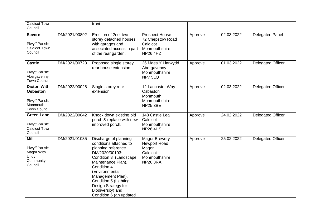| Caldicot Town<br>Council                                                                   |               | front.                                                                                                                                                                                                                                                                                        |                                                                                                      |         |            |                          |
|--------------------------------------------------------------------------------------------|---------------|-----------------------------------------------------------------------------------------------------------------------------------------------------------------------------------------------------------------------------------------------------------------------------------------------|------------------------------------------------------------------------------------------------------|---------|------------|--------------------------|
| <b>Severn</b><br>Plwyf/ Parish:<br><b>Caldicot Town</b><br>Council                         | DM/2021/00892 | Erection of 2no. two-<br>storey detached houses<br>with garages and<br>associated access in part<br>of the rear garden.                                                                                                                                                                       | <b>Prospect House</b><br>72 Chepstow Road<br>Caldicot<br>Monmouthshire<br><b>NP26 4HZ</b>            | Approve | 02.03.2022 | <b>Delegated Panel</b>   |
| <b>Castle</b><br>Plwyf/ Parish:<br>Abergavenny<br><b>Town Council</b>                      | DM/2021/00723 | Proposed single storey<br>rear house extension.                                                                                                                                                                                                                                               | 26 Maes Y Llarwydd<br>Abergavenny<br>Monmouthshire<br>NP7 5LQ                                        | Approve | 01.03.2022 | <b>Delegated Officer</b> |
| <b>Dixton With</b><br><b>Osbaston</b><br>Plwyf/ Parish:<br>Monmouth<br><b>Town Council</b> | DM/2022/00028 | Single storey rear<br>extension.                                                                                                                                                                                                                                                              | 12 Lancaster Way<br>Osbaston<br>Monmouth<br>Monmouthshire<br><b>NP25 3BE</b>                         | Approve | 02.03.2022 | <b>Delegated Officer</b> |
| <b>Green Lane</b><br>Plwyf/ Parish:<br><b>Caldicot Town</b><br>Council                     | DM/2022/00042 | Knock down existing old<br>porch & replace with new<br>improved porch.                                                                                                                                                                                                                        | 148 Castle Lea<br>Caldicot<br>Monmouthshire<br><b>NP264HS</b>                                        | Approve | 24.02.2022 | <b>Delegated Officer</b> |
| <b>Mill</b><br>Plwyf/ Parish:<br>Magor With<br>Undy<br>Community<br>Council                | DM/2021/01035 | Discharge of planning<br>conditions attached to<br>planning reference<br>DM/2020/00103:<br>Condition 3 (Landscape<br>Maintenance Plan).<br>Condition 4<br>(Environmental<br>Management Plan).<br>Condition 5 (Lighting<br>Design Strategy for<br>Biodiversity) and<br>Condition 6 (an updated | <b>Magor Brewery</b><br><b>Newport Road</b><br>Magor<br>Caldicot<br>Monmouthshire<br><b>NP26 3RA</b> | Approve | 25.02.2022 | <b>Delegated Officer</b> |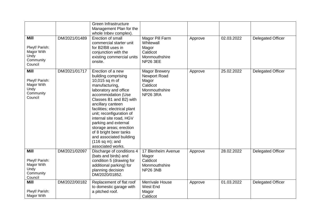| <b>Mill</b><br>Plwyf/ Parish:<br>Magor With<br>Undy<br>Community<br>Council | DM/2021/01489 | Green Infrastructure<br>Management Plan for the<br>whole Inbev complex).<br>Erection of small<br>commercial starter unit<br>for B2/B8 uses in<br>conjunction with the<br>existing commercial units<br>onsite.                                                                                                                                                                                                         | Magor Pill Farm<br>Whitewall<br>Magor<br>Caldicot<br>Monmouthshire<br><b>NP26 3EE</b>         | Approve | 02.03.2022 | <b>Delegated Officer</b> |
|-----------------------------------------------------------------------------|---------------|-----------------------------------------------------------------------------------------------------------------------------------------------------------------------------------------------------------------------------------------------------------------------------------------------------------------------------------------------------------------------------------------------------------------------|-----------------------------------------------------------------------------------------------|---------|------------|--------------------------|
| <b>Mill</b><br>Plwyf/ Parish:<br>Magor With<br>Undy<br>Community<br>Council | DM/2021/01717 | Erection of a new<br>building comprising<br>10,015 sq m of<br>manufacturing,<br>laboratory and office<br>accommodation (Use<br>Classes B1 and B2) with<br>ancillary canteen<br>facilities; electrical plant<br>unit; reconfiguration of<br>internal site road, HGV<br>parking and external<br>storage areas; erection<br>of 8 bright beer tanks<br>and associated building<br>$(116 sq m)$ ; and<br>associated works. | <b>Magor Brewery</b><br>Newport Road<br>Magor<br>Caldicot<br>Monmouthshire<br><b>NP26 3RA</b> | Approve | 25.02.2022 | <b>Delegated Officer</b> |
| <b>Mill</b><br>Plwyf/ Parish:<br>Magor With<br>Undy<br>Community<br>Council | DM/2021/02097 | Discharge of conditions 4<br>(bats and birds) and<br>condition 5 (drawing for<br>additional parking) for<br>planning decision<br>DM/2020/01852.                                                                                                                                                                                                                                                                       | 17 Blenheim Avenue<br>Magor<br>Caldicot<br>Monmouthshire<br><b>NP26 3NB</b>                   | Approve | 28.02.2022 | <b>Delegated Officer</b> |
| <b>Mill</b><br>Plwyf/ Parish:<br>Magor With                                 | DM/2022/00182 | Replacement of flat roof<br>to domestic garage with<br>a pitched roof.                                                                                                                                                                                                                                                                                                                                                | <b>Merrivale House</b><br>West End<br>Magor<br>Caldicot                                       | Approve | 01.03.2022 | <b>Delegated Officer</b> |